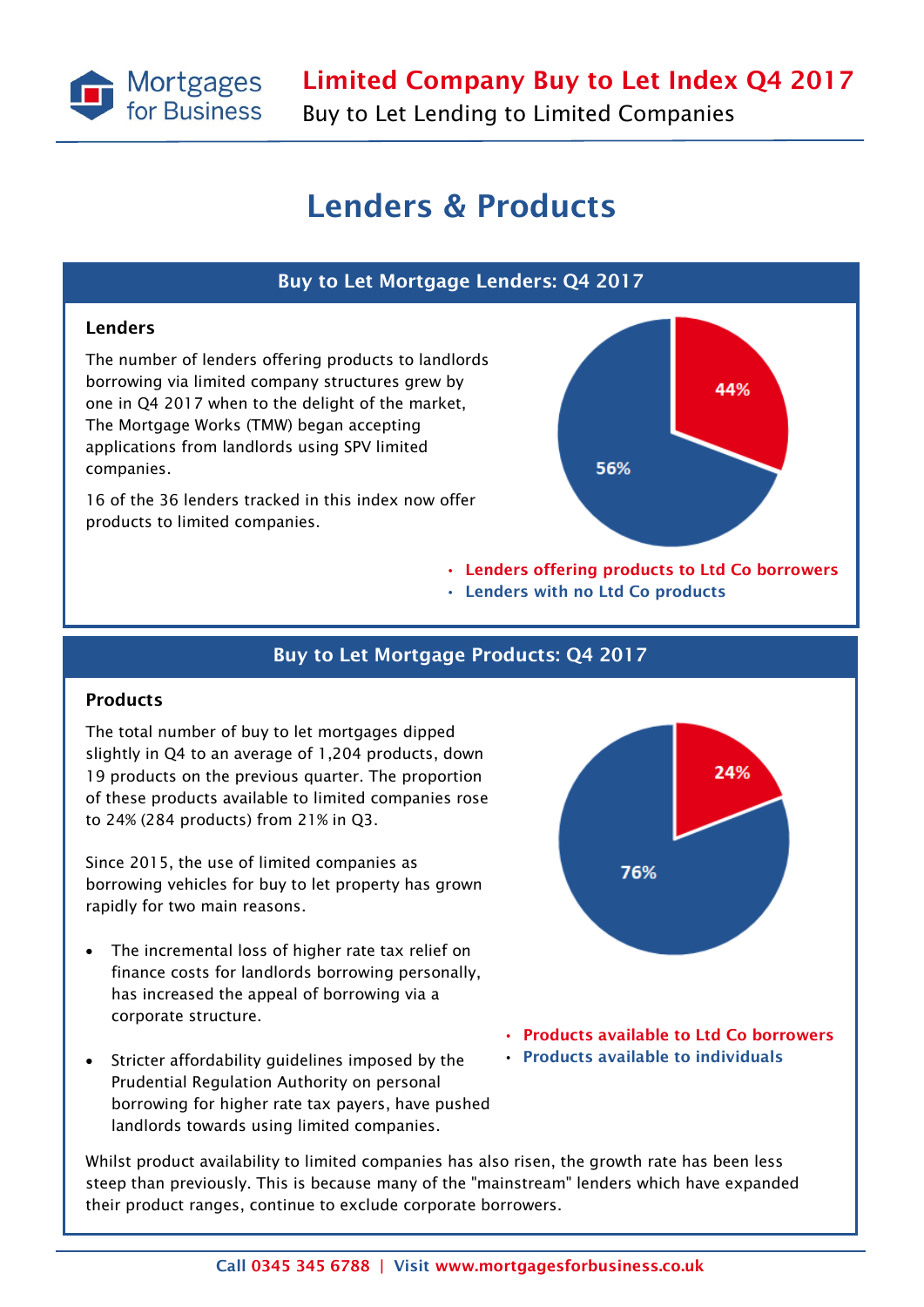

Buy to Let Lending to Limited Companies

### Lenders & Products

#### Buy to Let Mortgage Lenders: Q4 2017

#### Lenders

The number of lenders offering products to landlords borrowing via limited company structures grew by one in Q4 2017 when to the delight of the market, The Mortgage Works (TMW) began accepting applications from landlords using SPV limited companies.

16 of the 36 lenders tracked in this index now offer products to limited companies.



- Lenders offering products to Ltd Co borrowers
- Lenders with no Ltd Co products

#### Buy to Let Mortgage Products: Q4 2017

#### Products

The total number of buy to let mortgages dipped slightly in Q4 to an average of 1,204 products, down 19 products on the previous quarter. The proportion of these products available to limited companies rose to 24% (284 products) from 21% in Q3.

Since 2015, the use of limited companies as borrowing vehicles for buy to let property has grown rapidly for two main reasons.

- The incremental loss of higher rate tax relief on finance costs for landlords borrowing personally, has increased the appeal of borrowing via a corporate structure.
- Stricter affordability guidelines imposed by the Prudential Regulation Authority on personal borrowing for higher rate tax payers, have pushed landlords towards using limited companies.



- Products available to Ltd Co borrowers
- Products available to individuals

Whilst product availability to limited companies has also risen, the growth rate has been less steep than previously. This is because many of the "mainstream" lenders which have expanded their product ranges, continue to exclude corporate borrowers.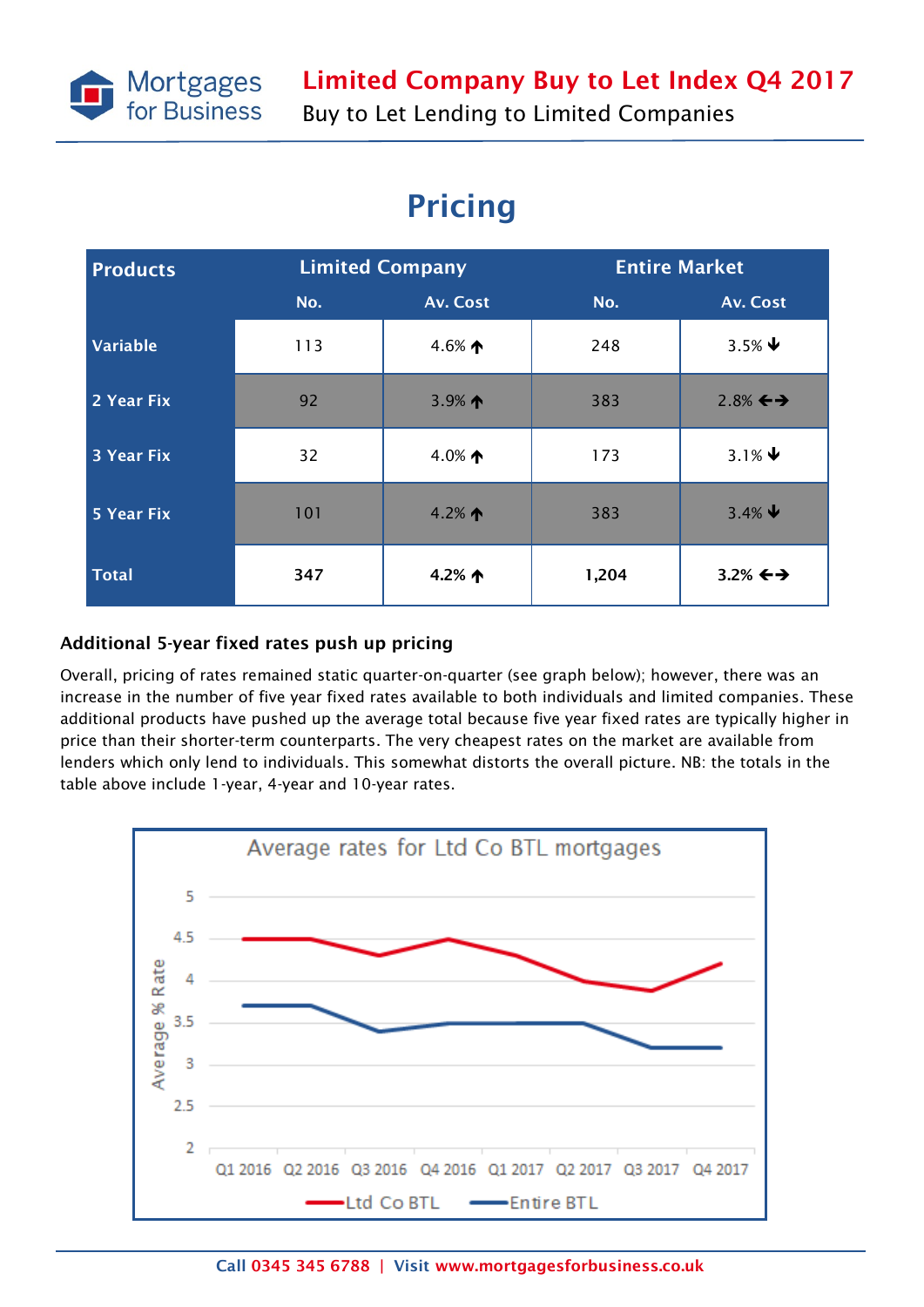

# Pricing

| <b>Products</b>   | <b>Limited Company</b> |                   | <b>Entire Market</b> |                         |
|-------------------|------------------------|-------------------|----------------------|-------------------------|
|                   | No.                    | Av. Cost          | No.                  | Av. Cost                |
| <b>Variable</b>   | 113                    | 4.6% $\spadesuit$ | 248                  | $3.5\%$ $\blacklozenge$ |
| 2 Year Fix        | 92                     | 3.9% $\spadesuit$ | 383                  | $2.8\% \leftrightarrow$ |
| <b>3 Year Fix</b> | 32                     | 4.0% $\spadesuit$ | 173                  | 3.1% $\blacklozenge$    |
| <b>5 Year Fix</b> | 101                    | 4.2% $\spadesuit$ | 383                  | $3.4\%$ $\downarrow$    |
| <b>Total</b>      | 347                    | 4.2% $\uparrow$   | 1,204                | 3.2% $\leftrightarrow$  |

### Additional 5-year fixed rates push up pricing

Overall, pricing of rates remained static quarter-on-quarter (see graph below); however, there was an increase in the number of five year fixed rates available to both individuals and limited companies. These additional products have pushed up the average total because five year fixed rates are typically higher in price than their shorter-term counterparts. The very cheapest rates on the market are available from lenders which only lend to individuals. This somewhat distorts the overall picture. NB: the totals in the table above include 1-year, 4-year and 10-year rates.

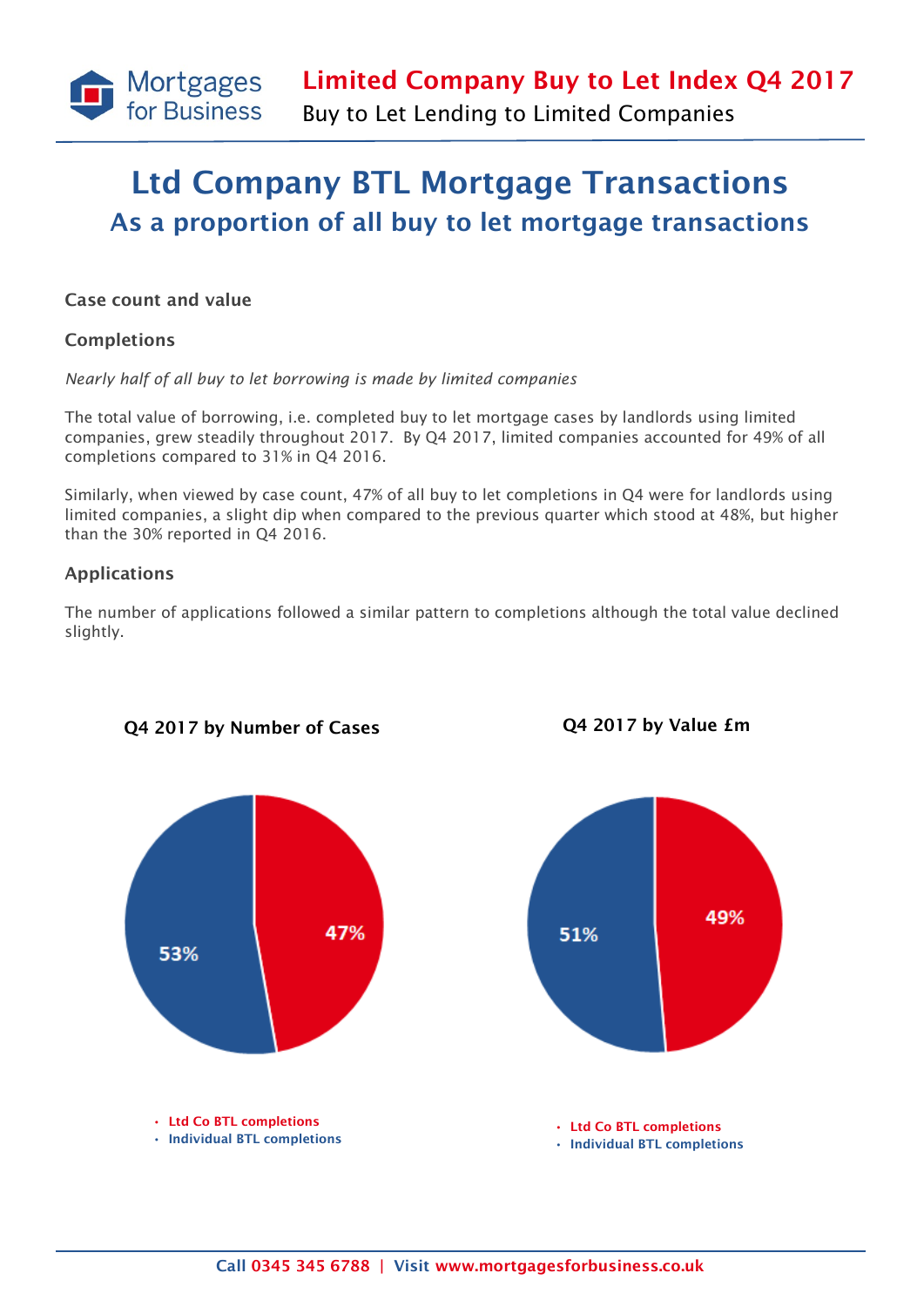

## Ltd Company BTL Mortgage Transactions As a proportion of all buy to let mortgage transactions

#### Case count and value

#### Completions

*Nearly half of all buy to let borrowing is made by limited companies*

The total value of borrowing, i.e. completed buy to let mortgage cases by landlords using limited companies, grew steadily throughout 2017. By Q4 2017, limited companies accounted for 49% of all completions compared to 31% in Q4 2016.

Similarly, when viewed by case count, 47% of all buy to let completions in Q4 were for landlords using limited companies, a slight dip when compared to the previous quarter which stood at 48%, but higher than the 30% reported in Q4 2016.

#### Applications

The number of applications followed a similar pattern to completions although the total value declined slightly.



Q4 2017 by Number of Cases Q4 2017 by Value £m